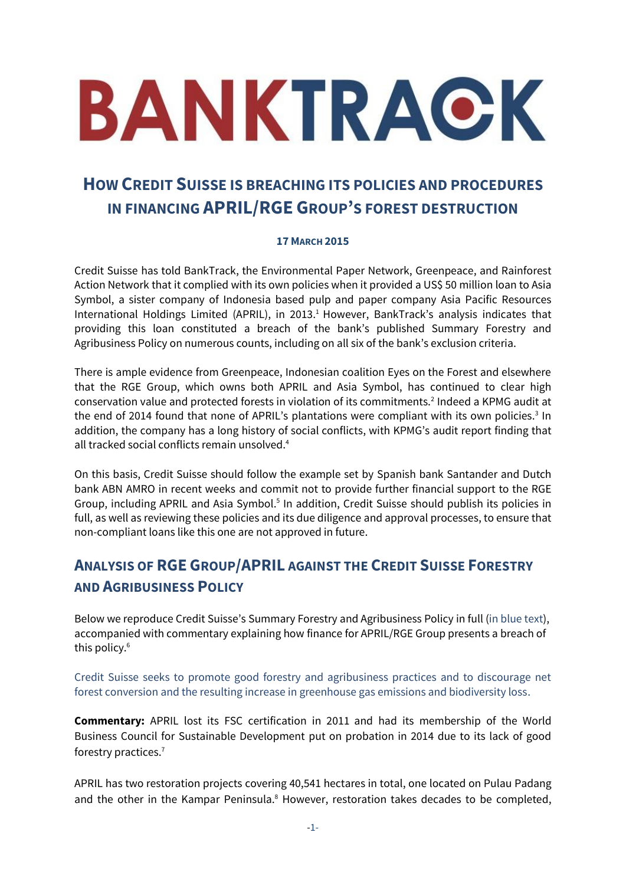# BANKTRACK

# **HOW CREDIT SUISSE IS BREACHING ITS POLICIES AND PROCEDURES IN FINANCING APRIL/RGE GROUP'S FOREST DESTRUCTION**

### **17 MARCH 2015**

Credit Suisse has told BankTrack, the Environmental Paper Network, Greenpeace, and Rainforest Action Network that it complied with its own policies when it provided a US\$ 50 million loan to Asia Symbol, a sister company of Indonesia based pulp and paper company Asia Pacific Resources International Holdings Limited (APRIL), in 2013. <sup>1</sup> However, BankTrack's analysis indicates that providing this loan constituted a breach of the bank's published Summary Forestry and Agribusiness Policy on numerous counts, including on all six of the bank's exclusion criteria.

There is ample evidence from Greenpeace, Indonesian coalition Eyes on the Forest and elsewhere that the RGE Group, which owns both APRIL and Asia Symbol, has continued to clear high conservation value and protected forests in violation of its commitments.<sup>2</sup> Indeed a KPMG audit at the end of 2014 found that none of APRIL's plantations were compliant with its own policies.<sup>3</sup> In addition, the company has a long history of social conflicts, with KPMG's audit report finding that all tracked social conflicts remain unsolved. 4

On this basis, Credit Suisse should follow the example set by Spanish bank Santander and Dutch bank ABN AMRO in recent weeks and commit not to provide further financial support to the RGE Group, including APRIL and Asia Symbol.<sup>5</sup> In addition, Credit Suisse should publish its policies in full, as well as reviewing these policies and its due diligence and approval processes, to ensure that non-compliant loans like this one are not approved in future.

# **ANALYSIS OF RGE GROUP/APRIL AGAINST THE CREDIT SUISSE FORESTRY AND AGRIBUSINESS POLICY**

Below we reproduce Credit Suisse's Summary Forestry and Agribusiness Policy in full (in blue text), accompanied with commentary explaining how finance for APRIL/RGE Group presents a breach of this policy.<sup>6</sup>

Credit Suisse seeks to promote good forestry and agribusiness practices and to discourage net forest conversion and the resulting increase in greenhouse gas emissions and biodiversity loss.

**Commentary:** APRIL lost its FSC certification in 2011 and had its membership of the World Business Council for Sustainable Development put on probation in 2014 due to its lack of good forestry practices.<sup>7</sup>

APRIL has two restoration projects covering 40,541 hectares in total, one located on Pulau Padang and the other in the Kampar Peninsula.<sup>8</sup> However, restoration takes decades to be completed,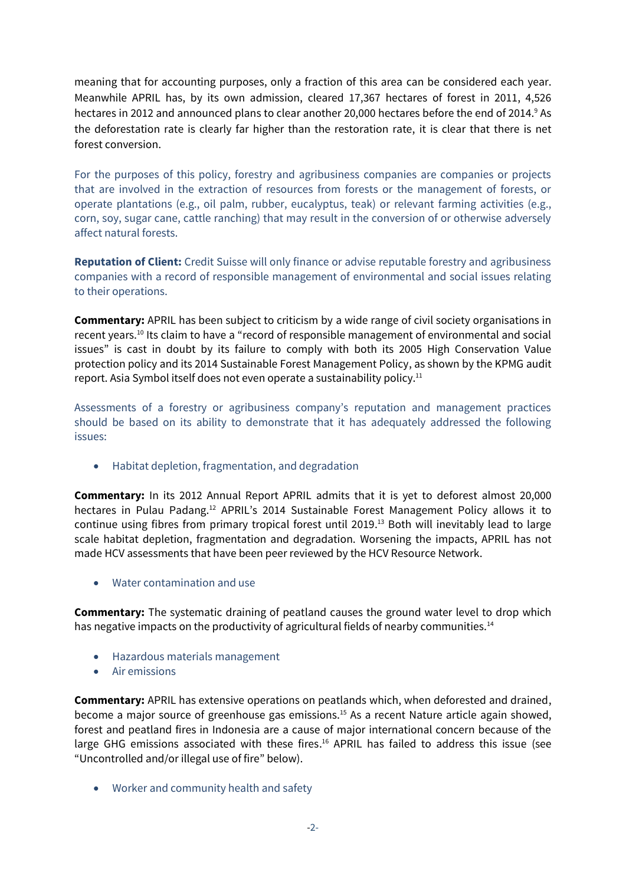meaning that for accounting purposes, only a fraction of this area can be considered each year. Meanwhile APRIL has, by its own admission, cleared 17,367 hectares of forest in 2011, 4,526 hectares in 2012 and announced plans to clear another 20,000 hectares before the end of 2014.<sup>9</sup> As the deforestation rate is clearly far higher than the restoration rate, it is clear that there is net forest conversion.

For the purposes of this policy, forestry and agribusiness companies are companies or projects that are involved in the extraction of resources from forests or the management of forests, or operate plantations (e.g., oil palm, rubber, eucalyptus, teak) or relevant farming activities (e.g., corn, soy, sugar cane, cattle ranching) that may result in the conversion of or otherwise adversely affect natural forests.

**Reputation of Client:** Credit Suisse will only finance or advise reputable forestry and agribusiness companies with a record of responsible management of environmental and social issues relating to their operations.

**Commentary:** APRIL has been subject to criticism by a wide range of civil society organisations in recent years.<sup>10</sup> Its claim to have a "record of responsible management of environmental and social issues" is cast in doubt by its failure to comply with both its 2005 High Conservation Value protection policy and its 2014 Sustainable Forest Management Policy, as shown by the KPMG audit report. Asia Symbol itself does not even operate a sustainability policy.<sup>11</sup>

Assessments of a forestry or agribusiness company's reputation and management practices should be based on its ability to demonstrate that it has adequately addressed the following issues:

Habitat depletion, fragmentation, and degradation

**Commentary:** In its 2012 Annual Report APRIL admits that it is yet to deforest almost 20,000 hectares in Pulau Padang.<sup>12</sup> APRIL's 2014 Sustainable Forest Management Policy allows it to continue using fibres from primary tropical forest until 2019. <sup>13</sup> Both will inevitably lead to large scale habitat depletion, fragmentation and degradation. Worsening the impacts, APRIL has not made HCV assessments that have been peer reviewed by the HCV Resource Network.

Water contamination and use

**Commentary:** The systematic draining of peatland causes the ground water level to drop which has negative impacts on the productivity of agricultural fields of nearby communities.<sup>14</sup>

- Hazardous materials management
- Air emissions

**Commentary:** APRIL has extensive operations on peatlands which, when deforested and drained, become a major source of greenhouse gas emissions.<sup>15</sup> As a recent Nature article again showed, forest and peatland fires in Indonesia are a cause of major international concern because of the large GHG emissions associated with these fires.<sup>16</sup> APRIL has failed to address this issue (see "Uncontrolled and/or illegal use of fire" below).

Worker and community health and safety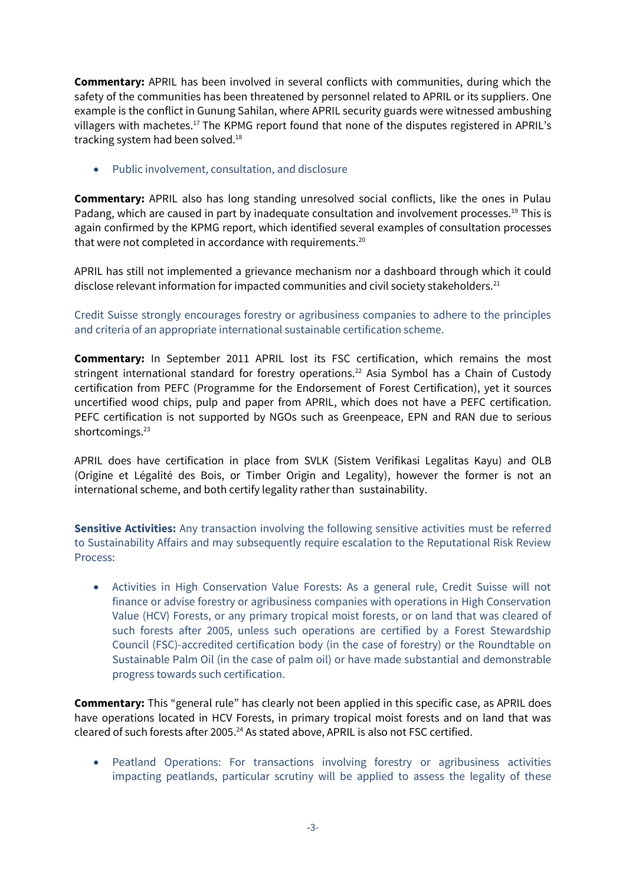**Commentary:** APRIL has been involved in several conflicts with communities, during which the safety of the communities has been threatened by personnel related to APRIL or its suppliers. One example is the conflict in Gunung Sahilan, where APRIL security guards were witnessed ambushing villagers with machetes.<sup>17</sup> The KPMG report found that none of the disputes registered in APRIL's tracking system had been solved.<sup>18</sup>

Public involvement, consultation, and disclosure

**Commentary:** APRIL also has long standing unresolved social conflicts, like the ones in Pulau Padang, which are caused in part by inadequate consultation and involvement processes.<sup>19</sup> This is again confirmed by the KPMG report, which identified several examples of consultation processes that were not completed in accordance with requirements.<sup>20</sup>

APRIL has still not implemented a grievance mechanism nor a dashboard through which it could disclose relevant information for impacted communities and civil society stakeholders. $^{21}$ 

Credit Suisse strongly encourages forestry or agribusiness companies to adhere to the principles and criteria of an appropriate international sustainable certification scheme.

**Commentary:** In September 2011 APRIL lost its FSC certification, which remains the most stringent international standard for forestry operations.<sup>22</sup> Asia Symbol has a Chain of Custody certification from PEFC (Programme for the Endorsement of Forest Certification), yet it sources uncertified wood chips, pulp and paper from APRIL, which does not have a PEFC certification. PEFC certification is not supported by NGOs such as Greenpeace, EPN and RAN due to serious shortcomings.<sup>23</sup>

APRIL does have certification in place from SVLK (Sistem Verifikasi Legalitas Kayu) and OLB (Origine et Légalité des Bois, or Timber Origin and Legality), however the former is not an international scheme, and both certify legality rather than sustainability.

**Sensitive Activities:** Any transaction involving the following sensitive activities must be referred to Sustainability Affairs and may subsequently require escalation to the Reputational Risk Review Process:

 Activities in High Conservation Value Forests: As a general rule, Credit Suisse will not finance or advise forestry or agribusiness companies with operations in High Conservation Value (HCV) Forests, or any primary tropical moist forests, or on land that was cleared of such forests after 2005, unless such operations are certified by a Forest Stewardship Council (FSC)-accredited certification body (in the case of forestry) or the Roundtable on Sustainable Palm Oil (in the case of palm oil) or have made substantial and demonstrable progress towards such certification.

**Commentary:** This "general rule" has clearly not been applied in this specific case, as APRIL does have operations located in HCV Forests, in primary tropical moist forests and on land that was cleared of such forests after 2005.<sup>24</sup> As stated above, APRIL is also not FSC certified.

 Peatland Operations: For transactions involving forestry or agribusiness activities impacting peatlands, particular scrutiny will be applied to assess the legality of these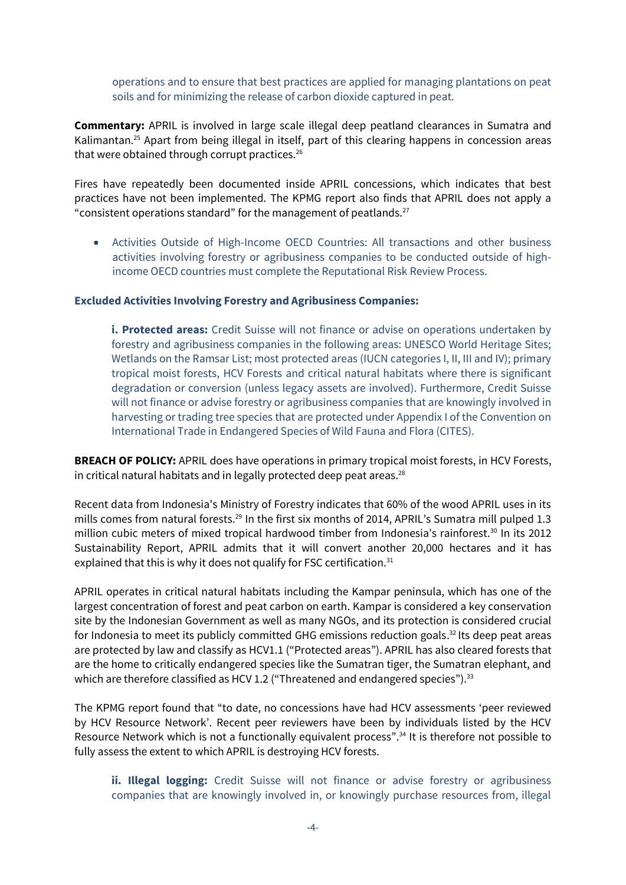operations and to ensure that best practices are applied for managing plantations on peat soils and for minimizing the release of carbon dioxide captured in peat.

**Commentary:** APRIL is involved in large scale illegal deep peatland clearances in Sumatra and Kalimantan.<sup>25</sup> Apart from being illegal in itself, part of this clearing happens in concession areas that were obtained through corrupt practices.<sup>26</sup>

Fires have repeatedly been documented inside APRIL concessions, which indicates that best practices have not been implemented. The KPMG report also finds that APRIL does not apply a "consistent operations standard" for the management of peatlands. $^{27}$ 

 Activities Outside of High-Income OECD Countries: All transactions and other business activities involving forestry or agribusiness companies to be conducted outside of highincome OECD countries must complete the Reputational Risk Review Process.

### **Excluded Activities Involving Forestry and Agribusiness Companies:**

**i. Protected areas:** Credit Suisse will not finance or advise on operations undertaken by forestry and agribusiness companies in the following areas: UNESCO World Heritage Sites; Wetlands on the Ramsar List; most protected areas (IUCN categories I, II, III and IV); primary tropical moist forests, HCV Forests and critical natural habitats where there is significant degradation or conversion (unless legacy assets are involved). Furthermore, Credit Suisse will not finance or advise forestry or agribusiness companies that are knowingly involved in harvesting or trading tree species that are protected under Appendix I of the Convention on International Trade in Endangered Species of Wild Fauna and Flora (CITES).

**BREACH OF POLICY:** APRIL does have operations in primary tropical moist forests, in HCV Forests, in critical natural habitats and in legally protected deep peat areas. $^{28}$ 

Recent data from Indonesia's Ministry of Forestry indicates that 60% of the wood APRIL uses in its mills comes from natural forests.<sup>29</sup> In the first six months of 2014, APRIL's Sumatra mill pulped 1.3 million cubic meters of mixed tropical hardwood timber from Indonesia's rainforest.<sup>30</sup> In its 2012 Sustainability Report, APRIL admits that it will convert another 20,000 hectares and it has explained that this is why it does not qualify for FSC certification.<sup>31</sup>

APRIL operates in critical natural habitats including the Kampar peninsula, which has one of the largest concentration of forest and peat carbon on earth. Kampar is considered a key conservation site by the Indonesian Government as well as many NGOs, and its protection is considered crucial for Indonesia to meet its publicly committed GHG emissions reduction goals.<sup>32</sup> Its deep peat areas are protected by law and classify as HCV1.1 ("Protected areas"). APRIL has also cleared forests that are the home to critically endangered species like the Sumatran tiger, the Sumatran elephant, and which are therefore classified as HCV 1.2 ("Threatened and endangered species").<sup>33</sup>

The KPMG report found that "to date, no concessions have had HCV assessments 'peer reviewed by HCV Resource Network'. Recent peer reviewers have been by individuals listed by the HCV Resource Network which is not a functionally equivalent process".<sup>34</sup> It is therefore not possible to fully assess the extent to which APRIL is destroying HCV forests.

**ii. Illegal logging:** Credit Suisse will not finance or advise forestry or agribusiness companies that are knowingly involved in, or knowingly purchase resources from, illegal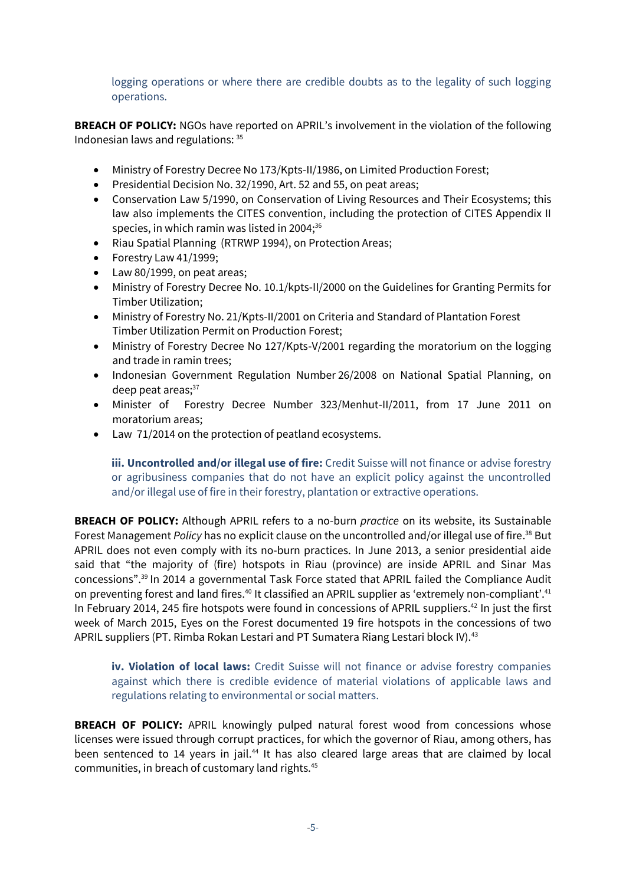logging operations or where there are credible doubts as to the legality of such logging operations.

**BREACH OF POLICY:** NGOs have reported on APRIL's involvement in the violation of the following Indonesian laws and regulations: 35

- Ministry of Forestry Decree No 173/Kpts-II/1986, on Limited Production Forest;
- Presidential Decision No. 32/1990, Art. 52 and 55, on peat areas;
- Conservation Law 5/1990, on Conservation of Living Resources and Their Ecosystems; this law also implements the CITES convention, including the protection of CITES Appendix II species, in which ramin was listed in 2004;<sup>36</sup>
- Riau Spatial Planning (RTRWP 1994), on Protection Areas;
- Forestry Law 41/1999;
- Law 80/1999, on peat areas;
- Ministry of Forestry Decree No. 10.1/kpts-II/2000 on the Guidelines for Granting Permits for Timber Utilization;
- Ministry of Forestry No. 21/Kpts-II/2001 on Criteria and Standard of Plantation Forest Timber Utilization Permit on Production Forest;
- Ministry of Forestry Decree No 127/Kpts-V/2001 regarding the moratorium on the logging and trade in ramin trees;
- Indonesian Government Regulation Number 26/2008 on National Spatial Planning, on deep peat areas;<sup>37</sup>
- Minister of Forestry Decree Number 323/Menhut-II/2011, from 17 June 2011 on moratorium areas;
- Law 71/2014 on the protection of peatland ecosystems.

**iii. Uncontrolled and/or illegal use of fire:** Credit Suisse will not finance or advise forestry or agribusiness companies that do not have an explicit policy against the uncontrolled and/or illegal use of fire in their forestry, plantation or extractive operations.

**BREACH OF POLICY:** Although APRIL refers to a no-burn *practice* on its website, its Sustainable Forest Management *Policy* has no explicit clause on the uncontrolled and/or illegal use of fire. <sup>38</sup> But APRIL does not even comply with its no-burn practices. In June 2013, a senior presidential aide said that "the majority of (fire) hotspots in Riau (province) are inside APRIL and Sinar Mas concessions". <sup>39</sup> In 2014 a governmental Task Force stated that APRIL failed the Compliance Audit on preventing forest and land fires.<sup>40</sup> It classified an APRIL supplier as 'extremely non-compliant'.<sup>41</sup> In February 2014, 245 fire hotspots were found in concessions of APRIL suppliers.<sup>42</sup> In just the first week of March 2015, Eyes on the Forest documented 19 fire hotspots in the concessions of two APRIL suppliers (PT. Rimba Rokan Lestari and PT Sumatera Riang Lestari block IV).<sup>43</sup>

**iv. Violation of local laws:** Credit Suisse will not finance or advise forestry companies against which there is credible evidence of material violations of applicable laws and regulations relating to environmental or social matters.

**BREACH OF POLICY:** APRIL knowingly pulped natural forest wood from concessions whose licenses were issued through corrupt practices, for which the governor of Riau, among others, has been sentenced to 14 years in jail.<sup>44</sup> It has also cleared large areas that are claimed by local communities, in breach of customary land rights.45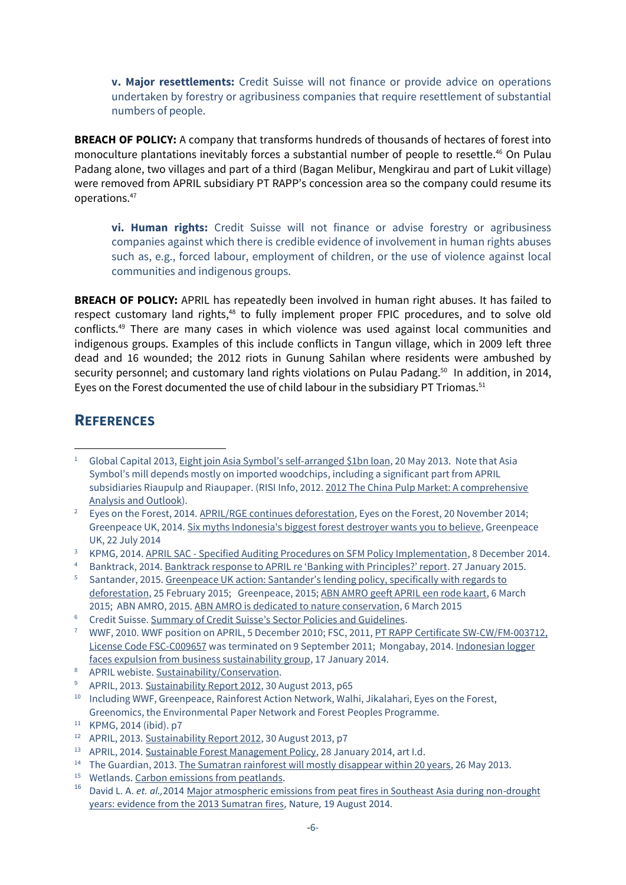**v. Major resettlements:** Credit Suisse will not finance or provide advice on operations undertaken by forestry or agribusiness companies that require resettlement of substantial numbers of people.

**BREACH OF POLICY:** A company that transforms hundreds of thousands of hectares of forest into monoculture plantations inevitably forces a substantial number of people to resettle. <sup>46</sup> On Pulau Padang alone, two villages and part of a third (Bagan Melibur, Mengkirau and part of Lukit village) were removed from APRIL subsidiary PT RAPP's concession area so the company could resume its operations.<sup>47</sup>

**vi. Human rights:** Credit Suisse will not finance or advise forestry or agribusiness companies against which there is credible evidence of involvement in human rights abuses such as, e.g., forced labour, employment of children, or the use of violence against local communities and indigenous groups.

**BREACH OF POLICY:** APRIL has repeatedly been involved in human right abuses. It has failed to respect customary land rights,<sup>48</sup> to fully implement proper FPIC procedures, and to solve old conflicts.<sup>49</sup> There are many cases in which violence was used against local communities and indigenous groups. Examples of this include conflicts in Tangun village, which in 2009 left three dead and 16 wounded; the 2012 riots in Gunung Sahilan where residents were ambushed by security personnel; and customary land rights violations on Pulau Padang.<sup>50</sup> In addition, in 2014, Eyes on the Forest documented the use of child labour in the subsidiary PT Triomas.<sup>51</sup>

## **REFERENCES**

 $\overline{a}$ <sup>1</sup> Global Capital 2013, [Eight join Asia Symbol's self](http://www.globalcapital.com/article/k39syc1vbf7x/eight-join-asia-symbols-self-arranged-1bn-loan)-arranged \$1bn loan, 20 May 2013. Note that Asia Symbol's mill depends mostly on imported woodchips, including a significant part from APRIL subsidiaries Riaupulp and Riaupaper. (RISI Info, 2012. 2012 The China Pulp Market: A comprehensive [Analysis and Outlook\)](http://www.risiinfo.com/risi-store/do/product/detail/china-pulp-study.html?source=PA1209SF).

<sup>2</sup> Eyes on the Forest, 2014. [APRIL/RGE continues deforestation,](http://www.eyesontheforest.or.id/attach/EoF%20%2820Nov14%29%20APRIL%20RGE%20continues%20deforestation%20-%20grievance%20submitted%20to%20APRIL%20SAC%20EN%20final.pdf) Eyes on the Forest, 20 November 2014; Greenpeace UK, 2014[. Six myths Indonesia's biggest forest destroyer wants you to believe,](http://www.greenpeace.org.uk/Six-myths-indonesias-biggest-forest-destroyer-wants-you-believe) Greenpeace UK, 22 July 2014

<sup>&</sup>lt;sup>3</sup> KPMG, 2014. APRIL SAC - [Specified Auditing Procedures on SFM Policy Implementation,](http://www.docdroid.net/q7nk/kpmg-audit-of-april-policy.pdf.html) 8 December 2014.

Banktrack, 2014. [Banktrack response to APRIL re 'Banking with Principles?' report](http://www.banktrack.org/manage/ems_files/download/2b79bb8/150127_banktrack_response_april_1.pdf). 27 January 2015.

<sup>&</sup>lt;sup>5</sup> Santander, 2015. Greenpeace UK action: Santander's lending policy, specifically with regards to [deforestation,](http://bit.ly/17WYzdr) 25 February 2015; Greenpeace, 2015[; ABN AMRO geeft APRIL een rode kaart,](http://www.greenpeace.nl/2015/Nieuwsberichten/Bossen/ABN-AMRO-geeft-APRIL-een-rode-kaart/) 6 March 2015; ABN AMRO, 2015[. ABN AMRO is dedicated to nature conservation,](https://www.abnamro.com/en/newsroom/newsarticles/abn-amro-is-dedicated-to-nature-conservation.html) 6 March 2015

<sup>6</sup> Credit Suisse. [Summary of Credit Suisse's Sector Policies and Guidelines](https://www.credit-suisse.com/media/cc/docs/responsibility/policy-summaries-en.pdf).

<sup>&</sup>lt;sup>7</sup> WWF, 2010. WWF position on APRIL, 5 December 2010; FSC, 2011, PT RAPP Certificate SW-CW/FM-003712, [License Code FSC-C009657](http://info.fsc.org/details.php?id=a0240000005sSmMAAU&type=certificate&return=index.php#result) was terminated on 9 September 2011; Mongabay, 2014. [Indonesian logger](http://news.mongabay.com/2014/0117-april-wbcsd.html)  [faces expulsion from business sustainability group,](http://news.mongabay.com/2014/0117-april-wbcsd.html) 17 January 2014.

<sup>8</sup> APRIL webiste. [Sustainability/Conservation.](http://www.aprilasia.com/en/sustainability/conservation)

<sup>9</sup> APRIL, 2013[. Sustainability Report 2012,](http://www.aprilasia.com/sr/) 30 August 2013, p65

<sup>&</sup>lt;sup>10</sup> Including WWF, Greenpeace, Rainforest Action Network, Walhi, Jikalahari, Eyes on the Forest, Greenomics, the Environmental Paper Network and Forest Peoples Programme.

<sup>11</sup> KPMG, 2014 (ibid). p7

<sup>&</sup>lt;sup>12</sup> APRIL, 2013[. Sustainability Report 2012,](http://www.aprilasia.com/sr/) 30 August 2013, p7

<sup>&</sup>lt;sup>13</sup> APRIL, 2014[. Sustainable Forest Management Policy,](http://www.aprilasia.com/images/sustainability/policy/sfm-policy.pdf) 28 January 2014, art I.d.

<sup>&</sup>lt;sup>14</sup> The Guardian, 2013[. The Sumatran rainforest will mostly disappear within 20 years,](http://www.theguardian.com/world/2013/may/26/sumatra-borneo-deforestation-tigers-palm-oil) 26 May 2013.

<sup>&</sup>lt;sup>15</sup> Wetlands[. Carbon emissions from peatlands.](http://www.wetlands.org/Whatarewetlands/Peatlands/Carbonemissionsfrompeatlands/tabid/2738/Default.)

<sup>16</sup> David L. A. *et. al.,*2014 [Major atmospheric emissions from peat fires in Southeast Asia during non-drought](http://www.nature.com/srep/2014/140819/srep06112/full/srep06112.html)  [years: evidence from the 2013 Sumatran fires,](http://www.nature.com/srep/2014/140819/srep06112/full/srep06112.html) Nature, 19 August 2014.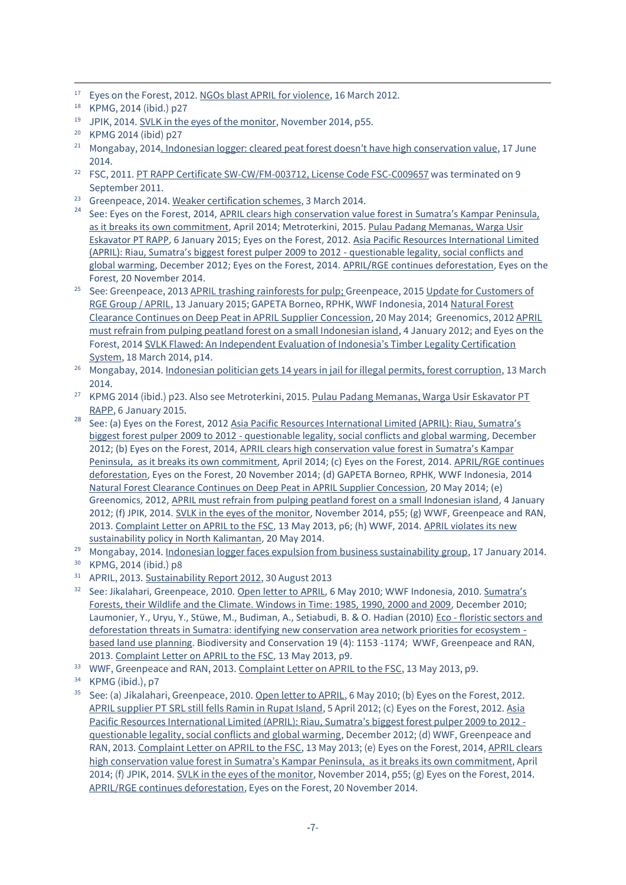- $\overline{a}$ <sup>17</sup> Eyes on the Forest, 2012. [NGOs blast APRIL for violence,](http://www.eyesontheforest.or.id/index.php?page=news&action=view&id=523) 16 March 2012.
- <sup>18</sup> KPMG, 2014 (ibid.) p27
- 19 JPIK, 2014. [SVLK in the eyes of the monitor,](http://loggingoff.info/sites/loggingoff.info/files/JPIK%282014%29%20SVLKmonitoringReport.pdf) November 2014, p55.

- <sup>21</sup> Mongabay, 2014. [Indonesian logger: cleared peat forest doesn't have high conservation value](http://news.mongabay.com/2014/0617-april-letter.html), 17 June 2014.
- <sup>22</sup> FSC, 2011. [PT RAPP Certificate SW-CW/FM-003712, License Code FSC-C009657](http://info.fsc.org/details.php?id=a0240000005sSmMAAU&type=certificate&return=index.php#result) was terminated on 9 September 2011.
- <sup>23</sup> Greenpeace, 2014. [Weaker certification](http://m.greenpeace.org/international/en/mid/campaigns/forests/solutions/alternatives-to-forest-destruc/Weaker-Certification-Schemes/) schemes, 3 March 2014.
- <sup>24</sup> See: Eyes on the Forest, 2014, [APRIL clears high conservation value forest in](http://www.eyesontheforest.or.id/attach/EoF%20%28April2014%29%20Investigative%20Report%20Triomas%20APRIL%20Finals_20140811060840.pdf) Sumatra's Kampar Peninsula, [as it breaks its own commitment,](http://www.eyesontheforest.or.id/attach/EoF%20%28April2014%29%20Investigative%20Report%20Triomas%20APRIL%20Finals_20140811060840.pdf) April 2014; Metroterkini, 2015[. Pulau Padang Memanas, Warga Usir](http://metroterkini.com/berita-12717-pulau-padang-memanas-warga-usir-eskavator-pt-rapp.html)  [Eskavator PT RAPP,](http://metroterkini.com/berita-12717-pulau-padang-memanas-warga-usir-eskavator-pt-rapp.html) 6 January 2015; Eyes on the Forest, 2012. [Asia Pacific Resources International Limited](http://www.eyesontheforest.or.id/attach/EoF%20%2820Dec12%29%20APRIL%20Riau%20Sumatras%20biggest%20forest%20pulper%202009%20to%202012.pdf)  (APRIL): Riau, Sumatra's biggest forest pulper 2009 to 2012 - [questionable legality, social conflicts and](http://www.eyesontheforest.or.id/attach/EoF%20%2820Dec12%29%20APRIL%20Riau%20Sumatras%20biggest%20forest%20pulper%202009%20to%202012.pdf)  [global warming,](http://www.eyesontheforest.or.id/attach/EoF%20%2820Dec12%29%20APRIL%20Riau%20Sumatras%20biggest%20forest%20pulper%202009%20to%202012.pdf) December 2012; Eyes on the Forest, 2014. [APRIL/RGE continues deforestation,](http://www.eyesontheforest.or.id/attach/EoF%20%2820Nov14%29%20APRIL%20RGE%20continues%20deforestation%20-%20grievance%20submitted%20to%20APRIL%20SAC%20EN%20final.pdf) Eyes on the Forest, 20 November 2014.
- <sup>25</sup> See: Greenpeace, 201[3 APRIL trashing rainforests for pulp;](http://www.greenpeace.org/international/Global/international/briefings/forests/2013/APRIL-Sumatra-Deforestation.pdf) Greenpeace, 2015 Update for Customers of [RGE Group / APRIL,](http://www.banktrack.org/manage/ems_files/download/150113_gp_update_for_customers_of_rge_group_final_pdf/150113_gp_update_for_customers_of_rge_group_final.pdf) 13 January 2015; GAPETA Borneo, RPHK, WWF Indonesia, 2014 [Natural Forest](file:///C:/Users/BT%20PC/Desktop/awsassets.wwf.or.id/downloads/report_april_hcvf_clearance_continues__english__1.pdf)  [Clearance Continues on Deep Peat in APRIL Supplier Concession,](file:///C:/Users/BT%20PC/Desktop/awsassets.wwf.or.id/downloads/report_april_hcvf_clearance_continues__english__1.pdf) 20 May 2014; Greenomics, 201[2 APRIL](http://www.greenomics.org/docs/Report_201201_APRIL_PulauPadang.pdf)  [must refrain from pulping peatland forest on a small Indonesian island,](http://www.greenomics.org/docs/Report_201201_APRIL_PulauPadang.pdf) 4 January 2012; and Eyes on the Forest, 2014 [SVLK Flawed: An Independent Evaluation of Indonesia's Timber Legality Certification](http://www.eyesontheforest.or.id/attach/Anti%20Forest%20Mafia%20Coalition%20%2818Mar14%29%20SVLK%20Flawed%20FINAL.pdf)  [System,](http://www.eyesontheforest.or.id/attach/Anti%20Forest%20Mafia%20Coalition%20%2818Mar14%29%20SVLK%20Flawed%20FINAL.pdf) 18 March 2014, p14.
- <sup>26</sup> Mongabay, 2014[. Indonesian politician gets 14 years in jail for illegal permits, forest corruption,](http://news.mongabay.com/2014/0313-dparker-zainal-corruption-riau.html) 13 March 2014.
- <sup>27</sup> KPMG 2014 (ibid.) p23. Also see Metroterkini, 2015. Pulau Padang Memanas, Warga Usir Eskavator PT [RAPP,](http://metroterkini.com/berita-12717-pulau-padang-memanas-warga-usir-eskavator-pt-rapp.html) 6 January 2015.
- 28 See: (a) Eyes on the Forest, 2012 Asia Pacific Resources International Limited (APRIL): Riau, Sumatra's biggest forest pulper 2009 to 2012 - [questionable legality, social conflicts and global warming,](http://www.eyesontheforest.or.id/attach/EoF%20%2820Dec12%29%20APRIL%20Riau%20Sumatras%20biggest%20forest%20pulper%202009%20to%202012.pdf) December 2012; (b) Eyes on the Forest, 2014, [APRIL clears high conservation value forest in Sumatra's Kampar](http://www.eyesontheforest.or.id/attach/EoF%20%28April2014%29%20Investigative%20Report%20Triomas%20APRIL%20Finals_20140811060840.pdf)  [Peninsula, as it breaks its own commitment,](http://www.eyesontheforest.or.id/attach/EoF%20%28April2014%29%20Investigative%20Report%20Triomas%20APRIL%20Finals_20140811060840.pdf) April 2014; (c) Eyes on the Forest, 2014. [APRIL/RGE continues](http://www.eyesontheforest.or.id/attach/EoF%20%2820Nov14%29%20APRIL%20RGE%20continues%20deforestation%20-%20grievance%20submitted%20to%20APRIL%20SAC%20EN%20final.pdf)  [deforestation,](http://www.eyesontheforest.or.id/attach/EoF%20%2820Nov14%29%20APRIL%20RGE%20continues%20deforestation%20-%20grievance%20submitted%20to%20APRIL%20SAC%20EN%20final.pdf) Eyes on the Forest, 20 November 2014; (d) GAPETA Borneo, RPHK, WWF Indonesia, 2014 [Natural Forest Clearance Continues on Deep Peat in APRIL Supplier Concession,](file:///C:/Users/BT%20PC/Desktop/awsassets.wwf.or.id/downloads/report_april_hcvf_clearance_continues__english__1.pdf) 20 May 2014; (e) Greenomics, 2012, [APRIL must refrain from pulping peatland forest on a small Indonesian island,](http://www.greenomics.org/docs/Report_201201_APRIL_PulauPadang.pdf) 4 January 2012; (f) JPIK, 2014. [SVLK in the eyes of the monitor,](http://loggingoff.info/sites/loggingoff.info/files/JPIK%282014%29%20SVLKmonitoringReport.pdf) November 2014, p55; (g) WWF, Greenpeace and RAN, 2013. [Complaint Letter on APRIL to the FSC,](http://www.banktrack.org/manage/ems_files/download/april_complaint_fsc_20130513_final_pdf/) 13 May 2013, p6; (h) WWF, 2014. APRIL violates its new [sustainability policy in North Kalimantan,](http://www.wwf.or.id/en/?33442/Tidak-Seperti-Komitmen-Lestarinya-APRIL-Masih-Tebangi-Hutan-Gambut-) 20 May 2014.
- <sup>29</sup> Mongabay, 2014[. Indonesian logger faces expulsion from business sustainability group,](http://news.mongabay.com/2014/0117-april-wbcsd.html#ixzz3SCbBHlpo) 17 January 2014.
- <sup>30</sup> KPMG, 2014 (ibid.) p8
- <sup>31</sup> APRIL, 2013[. Sustainability Report 2012,](http://www.aprilasia.com/sr/) 30 August 2013
- <sup>32</sup> See: Jikalahari, Greenpeace, 2010. [Open letter to APRIL,](http://www.eyesontheforest.or.id/?page=news&action=view&id=279) 6 May 2010; WWF Indonesia, 2010. Sumatra's [Forests, their Wildlife and the Climate. Windows in Time: 1985, 1990, 2000 and 2009,](file:///C:/Users/BT%20PC/Desktop/Indonesia%20(2010)%20Sumatra’s%20Forests,%20their%20Wildlife%20and%20the%20Climate.%20Windows%20in%20Time:%201985,%201990,%202000%20and%202009) December 2010; Laumonier, Y., Uryu, Y., Stüwe, M., Budiman, A., Setiabudi, B. & O. Hadian (2010) Eco - [floristic sectors and](http://www.springerlink.com/content/c77376k574051178/fulltext.pdf)  [deforestation threats in Sumatra: identifying new conservation area network priorities for ecosystem](http://www.springerlink.com/content/c77376k574051178/fulltext.pdf)  [based land use planning.](http://www.springerlink.com/content/c77376k574051178/fulltext.pdf) Biodiversity and Conservation 19 (4): 1153 -1174; WWF, Greenpeace and RAN, 2013. [Complaint Letter on APRIL to the FSC,](http://www.banktrack.org/manage/ems_files/download/april_complaint_fsc_20130513_final_pdf/) 13 May 2013, p9.
- <sup>33</sup> WWF, Greenpeace and RAN, 2013. [Complaint Letter on APRIL to the FSC,](http://www.banktrack.org/manage/ems_files/download/april_complaint_fsc_20130513_final_pdf/) 13 May 2013, p9.
- <sup>34</sup> KPMG (ibid.), p7
- <sup>35</sup> See: (a) Jikalahari, Greenpeace, 2010. [Open letter to APRIL,](http://www.eyesontheforest.or.id/?page=news&action=view&id=279) 6 May 2010; (b) Eyes on the Forest, 2012. [APRIL supplier PT SRL still fells Ramin in Rupat Island,](http://www.eyesontheforest.or.id/index.php?page=news&action=view&id=532) 5 April 2012; (c) Eyes on the Forest, 2012. Asia [Pacific Resources International Limited \(APRIL\): Riau, Sumatra's biggest forest pulper 2009 to 2012](http://www.eyesontheforest.or.id/attach/EoF%20%2820Dec12%29%20APRIL%20Riau%20Sumatras%20biggest%20forest%20pulper%202009%20to%202012.pdf)  [questionable legality, social conflicts and global warming,](http://www.eyesontheforest.or.id/attach/EoF%20%2820Dec12%29%20APRIL%20Riau%20Sumatras%20biggest%20forest%20pulper%202009%20to%202012.pdf) December 2012; (d) WWF, Greenpeace and RAN, 2013[. Complaint Letter on APRIL to the FSC,](http://www.banktrack.org/manage/ems_files/download/april_complaint_fsc_20130513_final_pdf/) 13 May 2013; (e) Eyes on the Forest, 2014, [APRIL clears](http://www.eyesontheforest.or.id/attach/EoF%20%28April2014%29%20Investigative%20Report%20Triomas%20APRIL%20Finals_20140811060840.pdf)  [high conservation value forest in Sumatra's Kampar](http://www.eyesontheforest.or.id/attach/EoF%20%28April2014%29%20Investigative%20Report%20Triomas%20APRIL%20Finals_20140811060840.pdf) Peninsula, as it breaks its own commitment, April 2014; (f) JPIK, 2014[. SVLK in the eyes of the monitor,](http://loggingoff.info/sites/loggingoff.info/files/JPIK%282014%29%20SVLKmonitoringReport.pdf) November 2014, p55; (g) Eyes on the Forest, 2014. [APRIL/RGE continues deforestation,](http://www.eyesontheforest.or.id/attach/EoF%20%2820Nov14%29%20APRIL%20RGE%20continues%20deforestation%20-%20grievance%20submitted%20to%20APRIL%20SAC%20EN%20final.pdf) Eyes on the Forest, 20 November 2014.

<sup>20</sup> KPMG 2014 (ibid) p27